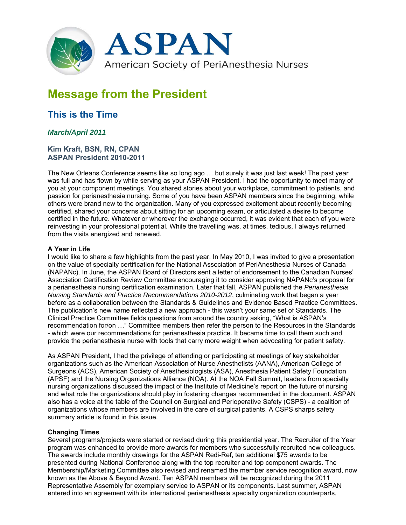

# **Message from the President**

# **This is the Time**

# *March/April 2011*

#### **Kim Kraft, BSN, RN, CPAN ASPAN President 2010-2011**

The New Orleans Conference seems like so long ago … but surely it was just last week! The past year was full and has flown by while serving as your ASPAN President. I had the opportunity to meet many of you at your component meetings. You shared stories about your workplace, commitment to patients, and passion for perianesthesia nursing. Some of you have been ASPAN members since the beginning, while others were brand new to the organization. Many of you expressed excitement about recently becoming certified, shared your concerns about sitting for an upcoming exam, or articulated a desire to become certified in the future. Whatever or wherever the exchange occurred, it was evident that each of you were reinvesting in your professional potential. While the travelling was, at times, tedious, I always returned from the visits energized and renewed.

### **A Year in Life**

I would like to share a few highlights from the past year. In May 2010, I was invited to give a presentation on the value of specialty certification for the National Association of PeriAnesthesia Nurses of Canada (NAPANc). In June, the ASPAN Board of Directors sent a letter of endorsement to the Canadian Nurses' Association Certification Review Committee encouraging it to consider approving NAPANc's proposal for a perianesthesia nursing certification examination. Later that fall, ASPAN published the *Perianesthesia Nursing Standards and Practice Recommendations 2010-2012*, culminating work that began a year before as a collaboration between the Standards & Guidelines and Evidence Based Practice Committees. The publication's new name reflected a new approach - this wasn't your same set of Standards. The Clinical Practice Committee fields questions from around the country asking, "What is ASPAN's recommendation for/on …" Committee members then refer the person to the Resources in the Standards - which were our recommendations for perianesthesia practice. It became time to call them such and provide the perianesthesia nurse with tools that carry more weight when advocating for patient safety.

As ASPAN President, I had the privilege of attending or participating at meetings of key stakeholder organizations such as the American Association of Nurse Anesthetists (AANA), American College of Surgeons (ACS), American Society of Anesthesiologists (ASA), Anesthesia Patient Safety Foundation (APSF) and the Nursing Organizations Alliance (NOA). At the NOA Fall Summit, leaders from specialty nursing organizations discussed the impact of the Institute of Medicine's report on the future of nursing and what role the organizations should play in fostering changes recommended in the document. ASPAN also has a voice at the table of the Council on Surgical and Perioperative Safety (CSPS) - a coalition of organizations whose members are involved in the care of surgical patients. A CSPS sharps safety summary article is found in this issue.

## **Changing Times**

Several programs/projects were started or revised during this presidential year. The Recruiter of the Year program was enhanced to provide more awards for members who successfully recruited new colleagues. The awards include monthly drawings for the ASPAN Redi-Ref, ten additional \$75 awards to be presented during National Conference along with the top recruiter and top component awards. The Membership/Marketing Committee also revised and renamed the member service recognition award, now known as the Above & Beyond Award. Ten ASPAN members will be recognized during the 2011 Representative Assembly for exemplary service to ASPAN or its components. Last summer, ASPAN entered into an agreement with its international perianesthesia specialty organization counterparts,